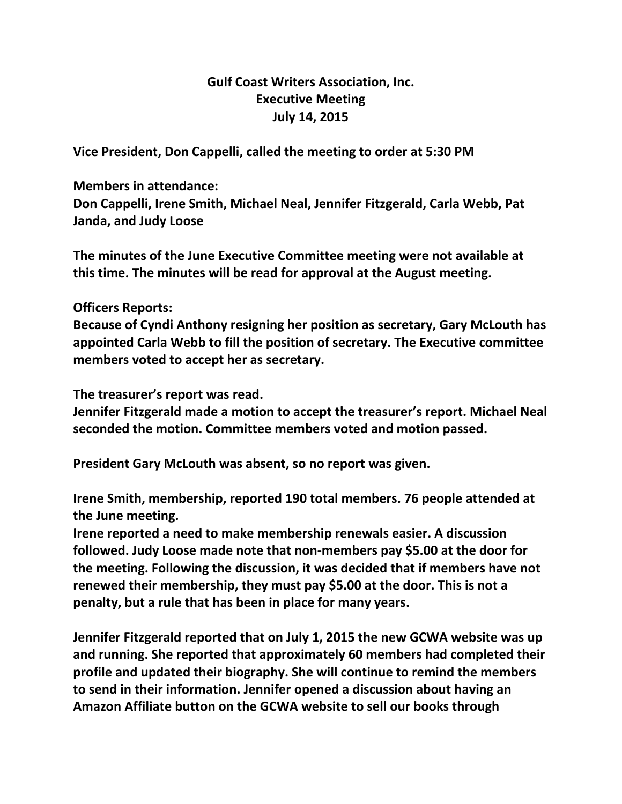## **Gulf Coast Writers Association, Inc. Executive Meeting July 14, 2015**

**Vice President, Don Cappelli, called the meeting to order at 5:30 PM**

**Members in attendance:**

**Don Cappelli, Irene Smith, Michael Neal, Jennifer Fitzgerald, Carla Webb, Pat Janda, and Judy Loose**

**The minutes of the June Executive Committee meeting were not available at this time. The minutes will be read for approval at the August meeting.**

## **Officers Reports:**

**Because of Cyndi Anthony resigning her position as secretary, Gary McLouth has appointed Carla Webb to fill the position of secretary. The Executive committee members voted to accept her as secretary.**

**The treasurer's report was read.** 

**Jennifer Fitzgerald made a motion to accept the treasurer's report. Michael Neal seconded the motion. Committee members voted and motion passed.**

**President Gary McLouth was absent, so no report was given.**

**Irene Smith, membership, reported 190 total members. 76 people attended at the June meeting.**

**Irene reported a need to make membership renewals easier. A discussion followed. Judy Loose made note that non-members pay \$5.00 at the door for the meeting. Following the discussion, it was decided that if members have not renewed their membership, they must pay \$5.00 at the door. This is not a penalty, but a rule that has been in place for many years.** 

**Jennifer Fitzgerald reported that on July 1, 2015 the new GCWA website was up and running. She reported that approximately 60 members had completed their profile and updated their biography. She will continue to remind the members to send in their information. Jennifer opened a discussion about having an Amazon Affiliate button on the GCWA website to sell our books through**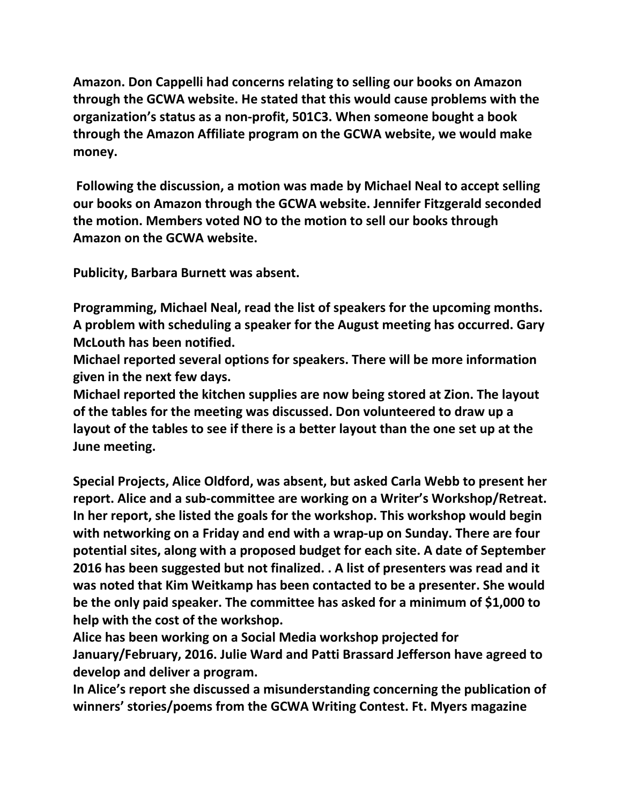**Amazon. Don Cappelli had concerns relating to selling our books on Amazon through the GCWA website. He stated that this would cause problems with the organization's status as a non-profit, 501C3. When someone bought a book through the Amazon Affiliate program on the GCWA website, we would make money.** 

**Following the discussion, a motion was made by Michael Neal to accept selling our books on Amazon through the GCWA website. Jennifer Fitzgerald seconded the motion. Members voted NO to the motion to sell our books through Amazon on the GCWA website.**

**Publicity, Barbara Burnett was absent.**

**Programming, Michael Neal, read the list of speakers for the upcoming months. A problem with scheduling a speaker for the August meeting has occurred. Gary McLouth has been notified.**

**Michael reported several options for speakers. There will be more information given in the next few days.** 

**Michael reported the kitchen supplies are now being stored at Zion. The layout of the tables for the meeting was discussed. Don volunteered to draw up a layout of the tables to see if there is a better layout than the one set up at the June meeting.**

**Special Projects, Alice Oldford, was absent, but asked Carla Webb to present her report. Alice and a sub-committee are working on a Writer's Workshop/Retreat. In her report, she listed the goals for the workshop. This workshop would begin with networking on a Friday and end with a wrap-up on Sunday. There are four potential sites, along with a proposed budget for each site. A date of September 2016 has been suggested but not finalized. . A list of presenters was read and it was noted that Kim Weitkamp has been contacted to be a presenter. She would be the only paid speaker. The committee has asked for a minimum of \$1,000 to help with the cost of the workshop.**

**Alice has been working on a Social Media workshop projected for January/February, 2016. Julie Ward and Patti Brassard Jefferson have agreed to develop and deliver a program.**

**In Alice's report she discussed a misunderstanding concerning the publication of winners' stories/poems from the GCWA Writing Contest. Ft. Myers magazine**